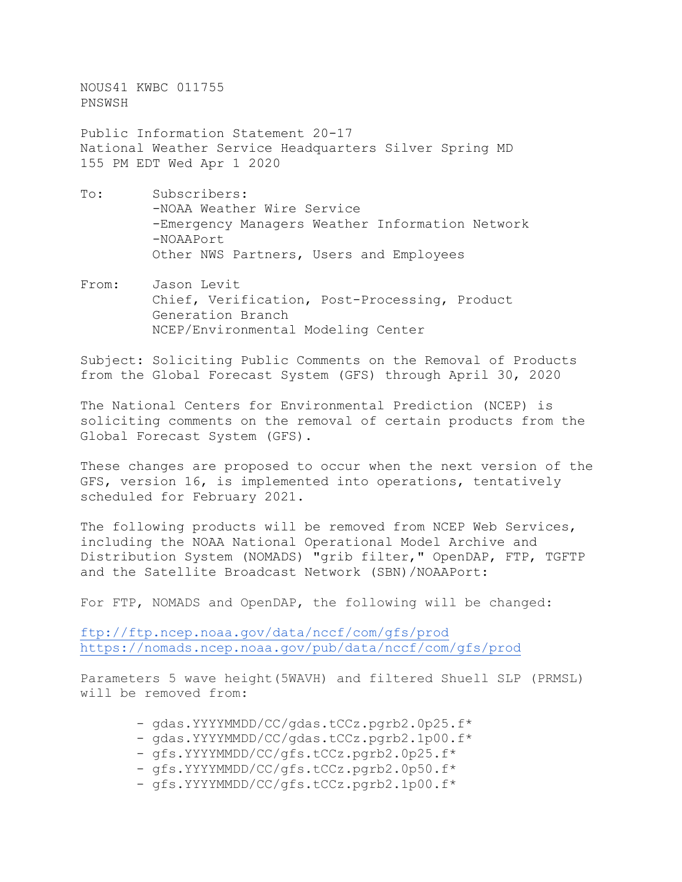NOUS41 KWBC 011755 PNSWSH

Public Information Statement 20-17 National Weather Service Headquarters Silver Spring MD 155 PM EDT Wed Apr 1 2020

- To: Subscribers: -NOAA Weather Wire Service -Emergency Managers Weather Information Network -NOAAPort Other NWS Partners, Users and Employees
- From: Jason Levit Chief, Verification, Post-Processing, Product Generation Branch NCEP/Environmental Modeling Center

Subject: Soliciting Public Comments on the Removal of Products from the Global Forecast System (GFS) through April 30, 2020

The National Centers for Environmental Prediction (NCEP) is soliciting comments on the removal of certain products from the Global Forecast System (GFS).

These changes are proposed to occur when the next version of the GFS, version 16, is implemented into operations, tentatively scheduled for February 2021.

The following products will be removed from NCEP Web Services, including the NOAA National Operational Model Archive and Distribution System (NOMADS) "grib filter," OpenDAP, FTP, TGFTP and the Satellite Broadcast Network (SBN)/NOAAPort:

For FTP, NOMADS and OpenDAP, the following will be changed:

<ftp://ftp.ncep.noaa.gov/data/nccf/com/gfs/prod> <https://nomads.ncep.noaa.gov/pub/data/nccf/com/gfs/prod>

Parameters 5 wave height(5WAVH) and filtered Shuell SLP (PRMSL) will be removed from:

- gdas.YYYYMMDD/CC/gdas.tCCz.pgrb2.0p25.f\*
- gdas.YYYYMMDD/CC/gdas.tCCz.pgrb2.1p00.f\*
- gfs.YYYYMMDD/CC/gfs.tCCz.pgrb2.0p25.f\*
- gfs.YYYYMMDD/CC/gfs.tCCz.pgrb2.0p50.f\*
- gfs.YYYYMMDD/CC/gfs.tCCz.pgrb2.1p00.f\*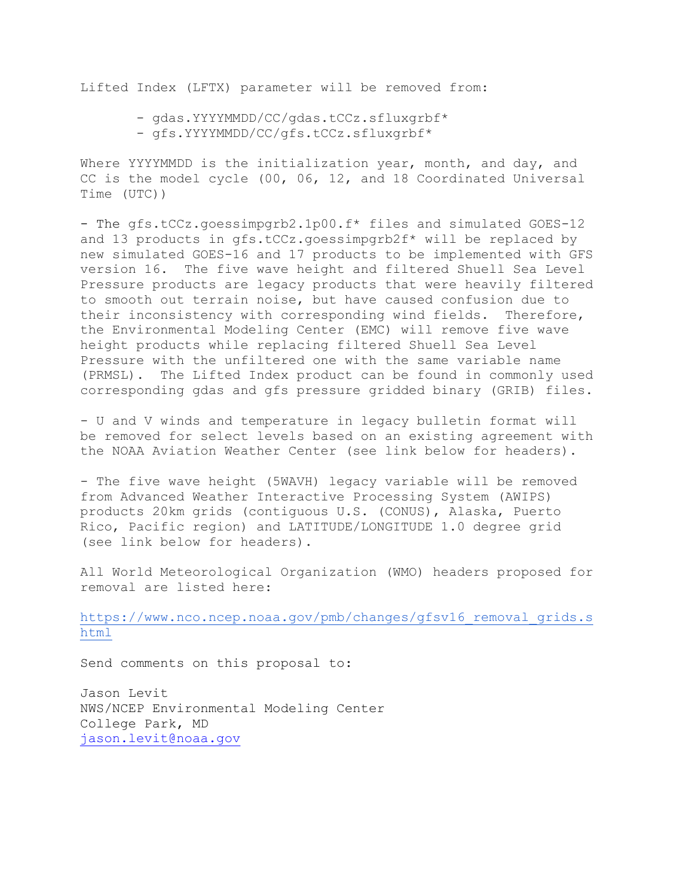Lifted Index (LFTX) parameter will be removed from:

- gdas.YYYYMMDD/CC/gdas.tCCz.sfluxgrbf\*
- gfs.YYYYMMDD/CC/gfs.tCCz.sfluxgrbf\*

Where YYYYMMDD is the initialization year, month, and day, and CC is the model cycle (00, 06, 12, and 18 Coordinated Universal Time (UTC))

- The gfs.tCCz.goessimpgrb2.1p00.f\* files and simulated GOES-12 and 13 products in gfs.tCCz.goessimpgrb2f\* will be replaced by new simulated GOES-16 and 17 products to be implemented with GFS version 16. The five wave height and filtered Shuell Sea Level Pressure products are legacy products that were heavily filtered to smooth out terrain noise, but have caused confusion due to their inconsistency with corresponding wind fields. Therefore, the Environmental Modeling Center (EMC) will remove five wave height products while replacing filtered Shuell Sea Level Pressure with the unfiltered one with the same variable name (PRMSL). The Lifted Index product can be found in commonly used corresponding gdas and gfs pressure gridded binary (GRIB) files.

- U and V winds and temperature in legacy bulletin format will be removed for select levels based on an existing agreement with the NOAA Aviation Weather Center (see link below for headers).

- The five wave height (5WAVH) legacy variable will be removed from Advanced Weather Interactive Processing System (AWIPS) products 20km grids (contiguous U.S. (CONUS), Alaska, Puerto Rico, Pacific region) and LATITUDE/LONGITUDE 1.0 degree grid (see link below for headers).

All World Meteorological Organization (WMO) headers proposed for removal are listed here:

https://www.nco.ncep.noaa.gov/pmb/changes/gfsv16 removal grids.s [html](https://www.nco.ncep.noaa.gov/pmb/changes/gfsv16_removal_grids.shtml)

Send comments on this proposal to:

Jason Levit NWS/NCEP Environmental Modeling Center College Park, MD [jason.levit@noaa.gov](mailto:jason.levit@noaa.gov)